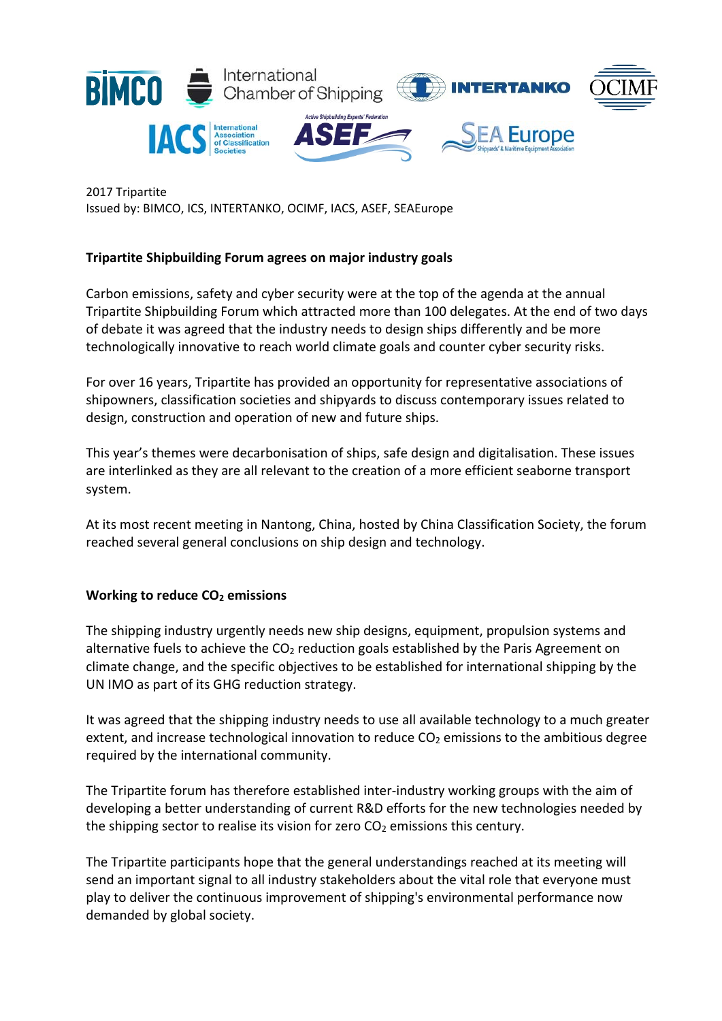

2017 Tripartite Issued by: BIMCO, ICS, INTERTANKO, OCIMF, IACS, ASEF, SEAEurope

# **Tripartite Shipbuilding Forum agrees on major industry goals**

Carbon emissions, safety and cyber security were at the top of the agenda at the annual Tripartite Shipbuilding Forum which attracted more than 100 delegates. At the end of two days of debate it was agreed that the industry needs to design ships differently and be more technologically innovative to reach world climate goals and counter cyber security risks.

For over 16 years, Tripartite has provided an opportunity for representative associations of shipowners, classification societies and shipyards to discuss contemporary issues related to design, construction and operation of new and future ships.

This year's themes were decarbonisation of ships, safe design and digitalisation. These issues are interlinked as they are all relevant to the creation of a more efficient seaborne transport system.

At its most recent meeting in Nantong, China, hosted by China Classification Society, the forum reached several general conclusions on ship design and technology.

#### **Working to reduce CO2 emissions**

The shipping industry urgently needs new ship designs, equipment, propulsion systems and alternative fuels to achieve the  $CO<sub>2</sub>$  reduction goals established by the Paris Agreement on climate change, and the specific objectives to be established for international shipping by the UN IMO as part of its GHG reduction strategy.

It was agreed that the shipping industry needs to use all available technology to a much greater extent, and increase technological innovation to reduce  $CO<sub>2</sub>$  emissions to the ambitious degree required by the international community.

The Tripartite forum has therefore established inter-industry working groups with the aim of developing a better understanding of current R&D efforts for the new technologies needed by the shipping sector to realise its vision for zero  $CO<sub>2</sub>$  emissions this century.

The Tripartite participants hope that the general understandings reached at its meeting will send an important signal to all industry stakeholders about the vital role that everyone must play to deliver the continuous improvement of shipping's environmental performance now demanded by global society.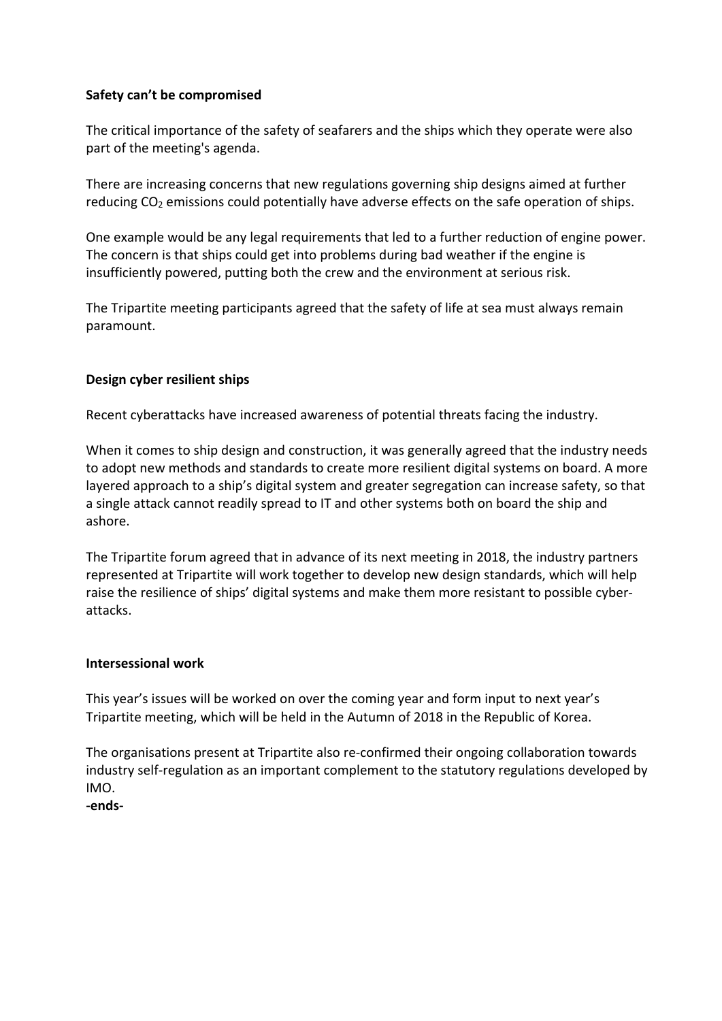# **Safety can't be compromised**

The critical importance of the safety of seafarers and the ships which they operate were also part of the meeting's agenda.

There are increasing concerns that new regulations governing ship designs aimed at further reducing CO<sub>2</sub> emissions could potentially have adverse effects on the safe operation of ships.

One example would be any legal requirements that led to a further reduction of engine power. The concern is that ships could get into problems during bad weather if the engine is insufficiently powered, putting both the crew and the environment at serious risk.

The Tripartite meeting participants agreed that the safety of life at sea must always remain paramount.

# **Design cyber resilient ships**

Recent cyberattacks have increased awareness of potential threats facing the industry.

When it comes to ship design and construction, it was generally agreed that the industry needs to adopt new methods and standards to create more resilient digital systems on board. A more layered approach to a ship's digital system and greater segregation can increase safety, so that a single attack cannot readily spread to IT and other systems both on board the ship and ashore.

The Tripartite forum agreed that in advance of its next meeting in 2018, the industry partners represented at Tripartite will work together to develop new design standards, which will help raise the resilience of ships' digital systems and make them more resistant to possible cyber‐ attacks.

#### **Intersessional work**

This year's issues will be worked on over the coming year and form input to next year's Tripartite meeting, which will be held in the Autumn of 2018 in the Republic of Korea.

The organisations present at Tripartite also re‐confirmed their ongoing collaboration towards industry self‐regulation as an important complement to the statutory regulations developed by IMO.

## **‐ends‐**